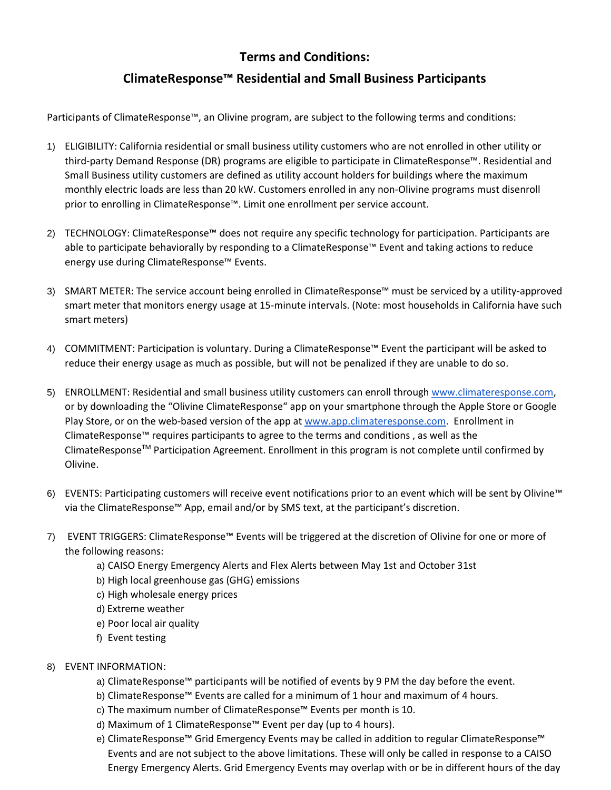## **Terms and Conditions:**

## **ClimateResponse™ Residential and Small Business Participants**

Participants of ClimateResponse™, an Olivine program, are subject to the following terms and conditions:

- 1) ELIGIBILITY: California residential or small business utility customers who are not enrolled in other utility or third-party Demand Response (DR) programs are eligible to participate in ClimateResponse™. Residential and Small Business utility customers are defined as utility account holders for buildings where the maximum monthly electric loads are less than 20 kW. Customers enrolled in any non-Olivine programs must disenroll prior to enrolling in ClimateResponse<sup>™</sup>. Limit one enrollment per service account.
- 2) TECHNOLOGY: ClimateResponse™ does not require any specific technology for participation. Participants are able to participate behaviorally by responding to a ClimateResponse™ Event and taking actions to reduce energy use during ClimateResponse™ Events.
- 3) SMART METER: The service account being enrolled in ClimateResponse™ must be serviced by a utility-approved smart meter that monitors energy usage at 15-minute intervals. (Note: most households in California have such smart meters)
- 4) COMMITMENT: Participation is voluntary. During a ClimateResponse™ Event the participant will be asked to reduce their energy usage as much as possible, but will not be penalized if they are unable to do so.
- 5) ENROLLMENT: Residential and small business utility customers can enroll throug[h www.climateresponse.com,](http://www.climateresponse.com/) or by downloading the "Olivine ClimateResponse" app on your smartphone through the Apple Store or Google Play Store, or on the web-based version of the app at [www.app.climateresponse.com.](http://www.app.climateresponse.com/) Enrollment in ClimateResponse™ requires participants to agree to the terms and conditions , as well as the ClimateResponse<sup>™</sup> Participation Agreement. Enrollment in this program is not complete until confirmed by Olivine.
- 6) EVENTS: Participating customers will receive event notifications prior to an event which will be sent by Olivine™ via the ClimateResponse™ App, email and/or by SMS text, at the participant's discretion.
- 7) EVENT TRIGGERS: ClimateResponse™ Events will be triggered at the discretion of Olivine for one or more of the following reasons:
	- a) CAISO Energy Emergency Alerts and Flex Alerts between May 1st and October 31st
	- b) High local greenhouse gas (GHG) emissions
	- c) High wholesale energy prices
	- d) Extreme weather
	- e) Poor local air quality
	- f) Event testing
- 8) EVENT INFORMATION:
	- a) ClimateResponse™ participants will be notified of events by 9 PM the day before the event.
	- b) ClimateResponse™ Events are called for a minimum of 1 hour and maximum of 4 hours.
	- c) The maximum number of ClimateResponse™ Events per month is 10.
	- d) Maximum of 1 ClimateResponse™ Event per day (up to 4 hours).
	- e) ClimateResponse™ Grid Emergency Events may be called in addition to regular ClimateResponse™ Events and are not subject to the above limitations. These will only be called in response to a CAISO Energy Emergency Alerts. Grid Emergency Events may overlap with or be in different hours of the day